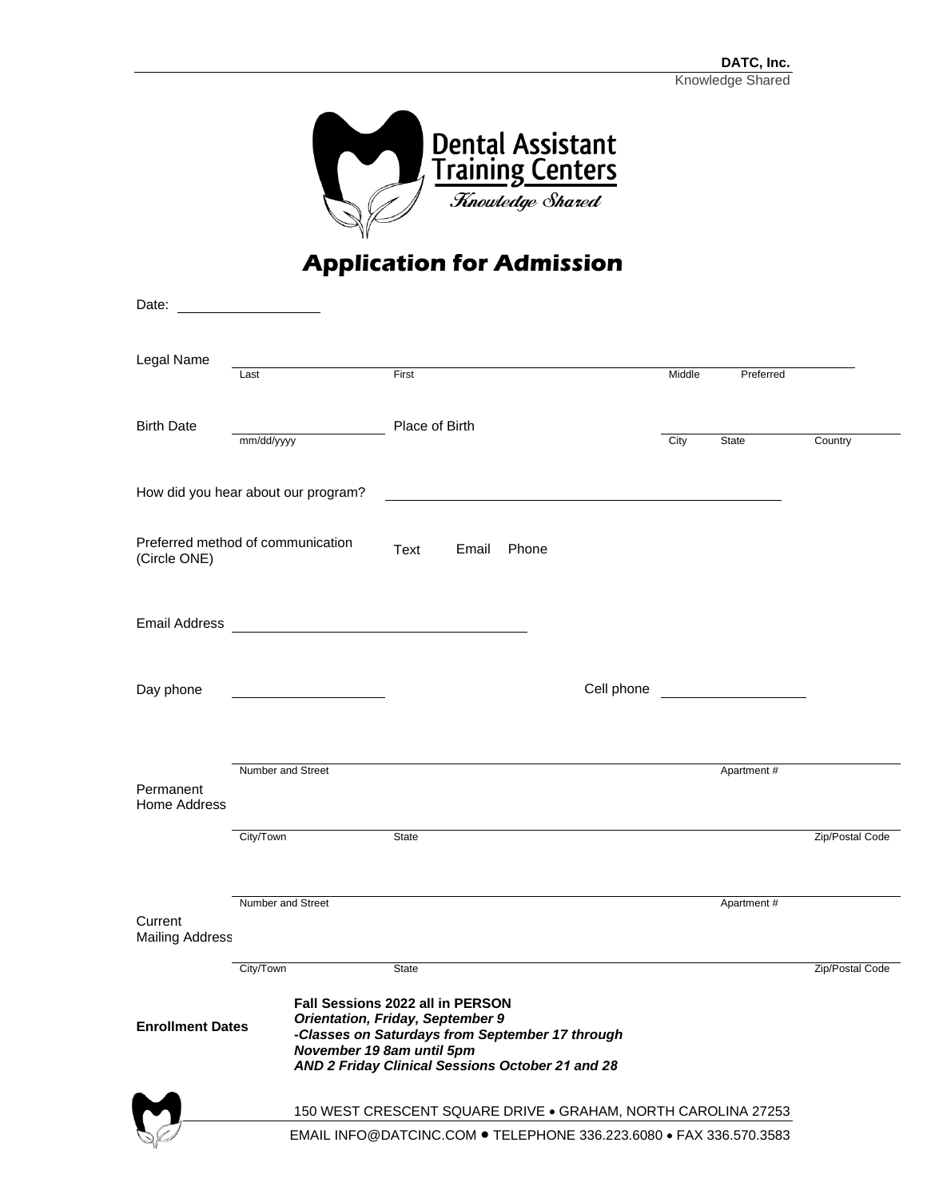

## **Application for Admission**

| Date:                                             |                                                                    |                                                                                                                                                                                                                        |                |       |       |            |        |             |                 |
|---------------------------------------------------|--------------------------------------------------------------------|------------------------------------------------------------------------------------------------------------------------------------------------------------------------------------------------------------------------|----------------|-------|-------|------------|--------|-------------|-----------------|
| Legal Name                                        | Last                                                               |                                                                                                                                                                                                                        | First          |       |       |            | Middle | Preferred   |                 |
| <b>Birth Date</b>                                 | mm/dd/yyyy                                                         |                                                                                                                                                                                                                        | Place of Birth |       |       |            | City   | State       | Country         |
| How did you hear about our program?               |                                                                    |                                                                                                                                                                                                                        |                |       |       |            |        |             |                 |
| Preferred method of communication<br>(Circle ONE) |                                                                    |                                                                                                                                                                                                                        | Text           | Email | Phone |            |        |             |                 |
| <b>Email Address</b>                              |                                                                    | <u> 1989 - John Stein, mars and de Brandenberg and de Brandenberg and de Brandenberg and de Brandenberg and de Br</u>                                                                                                  |                |       |       |            |        |             |                 |
| Day phone                                         |                                                                    |                                                                                                                                                                                                                        |                |       |       | Cell phone |        |             |                 |
| Permanent<br>Home Address                         | Number and Street                                                  |                                                                                                                                                                                                                        |                |       |       |            |        | Apartment#  |                 |
|                                                   | City/Town                                                          |                                                                                                                                                                                                                        | State          |       |       |            |        |             | Zip/Postal Code |
| Current<br><b>Mailing Address</b>                 | Number and Street                                                  |                                                                                                                                                                                                                        |                |       |       |            |        | Apartment # |                 |
| <b>Enrollment Dates</b>                           | City/Town                                                          | <b>Fall Sessions 2022 all in PERSON</b><br><b>Orientation, Friday, September 9</b><br>-Classes on Saturdays from September 17 through<br>November 19 8am until 5pm<br>AND 2 Friday Clinical Sessions October 21 and 28 | <b>State</b>   |       |       |            |        |             | Zip/Postal Code |
|                                                   | 150 WEST CRESCENT SQUARE DRIVE . GRAHAM, NORTH CAROLINA 27253      |                                                                                                                                                                                                                        |                |       |       |            |        |             |                 |
|                                                   | EMAIL INFO@DATCINC.COM . TELEPHONE 336.223.6080 . FAX 336.570.3583 |                                                                                                                                                                                                                        |                |       |       |            |        |             |                 |